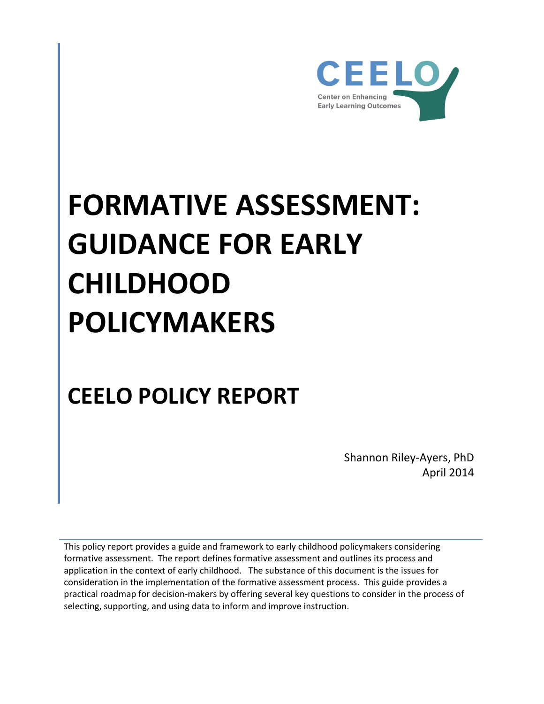

# **FORMATIVE ASSESSMENT: GUIDANCE FOR EARLY CHILDHOOD POLICYMAKERS**

# **CEELO POLICY REPORT**

Shannon Riley-Ayers, PhD April 2014

This policy report provides a guide and framework to early childhood policymakers considering formative assessment. The report defines formative assessment and outlines its process and application in the context of early childhood. The substance of this document is the issues for consideration in the implementation of the formative assessment process. This guide provides a practical roadmap for decision-makers by offering several key questions to consider in the process of selecting, supporting, and using data to inform and improve instruction.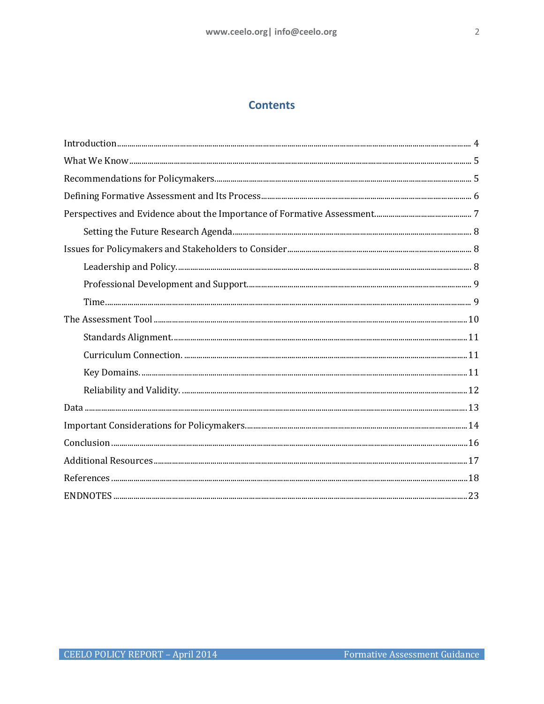# **Contents**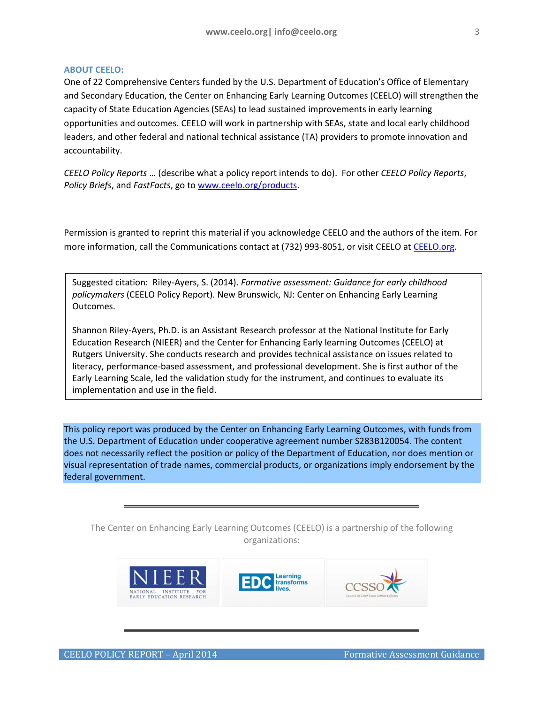#### **ABOUT CEELO:**

One of 22 Comprehensive Centers funded by the U.S. Department of Education's Office of Elementary and Secondary Education, the Center on Enhancing Early Learning Outcomes (CEELO) will strengthen the capacity of State Education Agencies (SEAs) to lead sustained improvements in early learning opportunities and outcomes. CEELO will work in partnership with SEAs, state and local early childhood leaders, and other federal and national technical assistance (TA) providers to promote innovation and accountability.

*CEELO Policy Reports* … (describe what a policy report intends to do). For other *CEELO Policy Reports*, *Policy Briefs*, and *FastFacts*, go t[o www.ceelo.org/products.](http://www.ceelo.org/products)

Permission is granted to reprint this material if you acknowledge CEELO and the authors of the item. For more information, call the Communications contact at (732) 993-8051, or visit CEELO a[t CEELO.org.](http://www.ceelo.org/)

Suggested citation: Riley-Ayers, S. (2014). *Formative assessment: Guidance for early childhood policymakers* (CEELO Policy Report). New Brunswick, NJ: Center on Enhancing Early Learning Outcomes.

Shannon Riley-Ayers, Ph.D. is an Assistant Research professor at the National Institute for Early Education Research (NIEER) and the Center for Enhancing Early learning Outcomes (CEELO) at Rutgers University. She conducts research and provides technical assistance on issues related to literacy, performance-based assessment, and professional development. She is first author of the Early Learning Scale, led the validation study for the instrument, and continues to evaluate its implementation and use in the field.

This policy report was produced by the Center on Enhancing Early Learning Outcomes, with funds from the U.S. Department of Education under cooperative agreement number S283B120054. The content does not necessarily reflect the position or policy of the Department of Education, nor does mention or visual representation of trade names, commercial products, or organizations imply endorsement by the federal government.

The Center on Enhancing Early Learning Outcomes (CEELO) is a partnership of the following organizations:

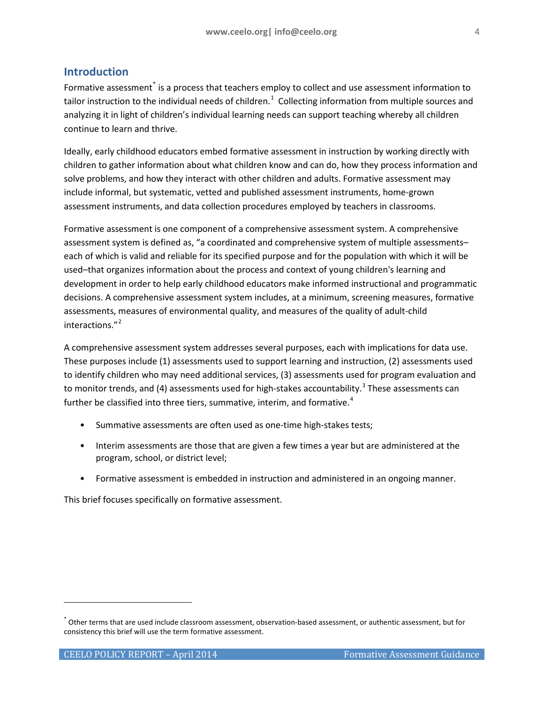# <span id="page-3-0"></span>**Introduction**

Formative assessment<sup>[\\*](#page-3-1)</sup> is a process that teachers employ to collect and use assessment information to tailor instruction to the individual needs of children.<sup>[1](#page-23-0)</sup> Collecting information from multiple sources and analyzing it in light of children's individual learning needs can support teaching whereby all children continue to learn and thrive.

Ideally, early childhood educators embed formative assessment in instruction by working directly with children to gather information about what children know and can do, how they process information and solve problems, and how they interact with other children and adults. Formative assessment may include informal, but systematic, vetted and published assessment instruments, home-grown assessment instruments, and data collection procedures employed by teachers in classrooms.

Formative assessment is one component of a comprehensive assessment system. A comprehensive assessment system is defined as, "a coordinated and comprehensive system of multiple assessments– each of which is valid and reliable for its specified purpose and for the population with which it will be used–that organizes information about the process and context of young children's learning and development in order to help early childhood educators make informed instructional and programmatic decisions. A comprehensive assessment system includes, at a minimum, screening measures, formative assessments, measures of environmental quality, and measures of the quality of adult-child interactions."<sup>[2](#page-23-1)</sup>

A comprehensive assessment system addresses several purposes, each with implications for data use. These purposes include (1) assessments used to support learning and instruction, (2) assessments used to identify children who may need additional services, (3) assessments used for program evaluation and to monitor trends, and (4) assessments used for high-stakes accountability.<sup>[3](#page-23-2)</sup> These assessments can further be classified into three tiers, summative, interim, and formative.<sup>[4](#page-23-3)</sup>

- Summative assessments are often used as one-time high-stakes tests;
- Interim assessments are those that are given a few times a year but are administered at the program, school, or district level;
- Formative assessment is embedded in instruction and administered in an ongoing manner.

This brief focuses specifically on formative assessment.

j

<span id="page-3-1"></span><sup>\*</sup> Other terms that are used include classroom assessment, observation-based assessment, or authentic assessment, but for consistency this brief will use the term formative assessment.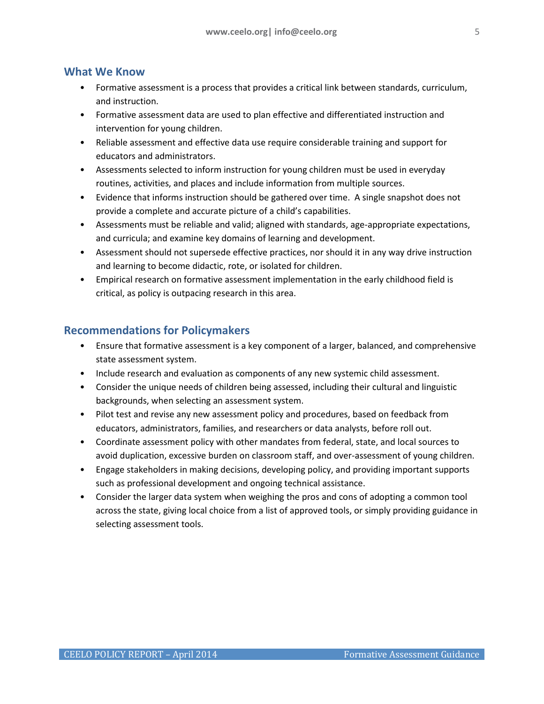# <span id="page-4-0"></span>**What We Know**

- Formative assessment is a process that provides a critical link between standards, curriculum, and instruction.
- Formative assessment data are used to plan effective and differentiated instruction and intervention for young children.
- Reliable assessment and effective data use require considerable training and support for educators and administrators.
- Assessments selected to inform instruction for young children must be used in everyday routines, activities, and places and include information from multiple sources.
- Evidence that informs instruction should be gathered over time. A single snapshot does not provide a complete and accurate picture of a child's capabilities.
- Assessments must be reliable and valid; aligned with standards, age-appropriate expectations, and curricula; and examine key domains of learning and development.
- Assessment should not supersede effective practices, nor should it in any way drive instruction and learning to become didactic, rote, or isolated for children.
- Empirical research on formative assessment implementation in the early childhood field is critical, as policy is outpacing research in this area.

# <span id="page-4-1"></span>**Recommendations for Policymakers**

- Ensure that formative assessment is a key component of a larger, balanced, and comprehensive state assessment system.
- Include research and evaluation as components of any new systemic child assessment.
- Consider the unique needs of children being assessed, including their cultural and linguistic backgrounds, when selecting an assessment system.
- Pilot test and revise any new assessment policy and procedures, based on feedback from educators, administrators, families, and researchers or data analysts, before roll out.
- Coordinate assessment policy with other mandates from federal, state, and local sources to avoid duplication, excessive burden on classroom staff, and over-assessment of young children.
- Engage stakeholders in making decisions, developing policy, and providing important supports such as professional development and ongoing technical assistance.
- Consider the larger data system when weighing the pros and cons of adopting a common tool across the state, giving local choice from a list of approved tools, or simply providing guidance in selecting assessment tools.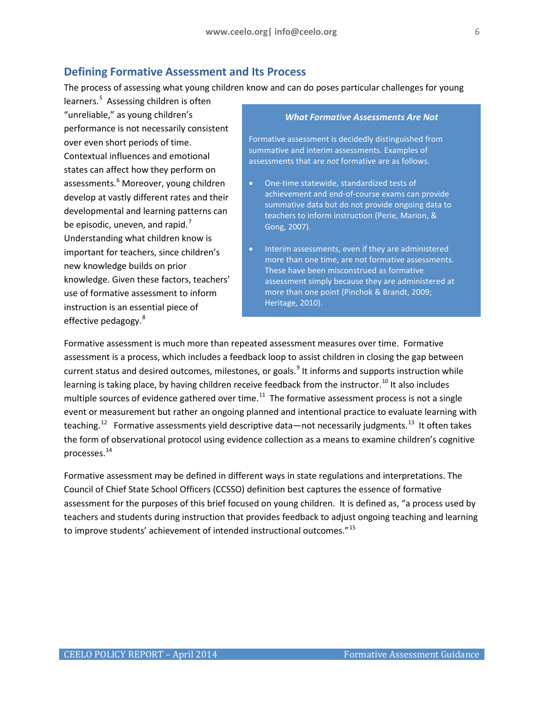# <span id="page-5-0"></span>**Defining Formative Assessment and Its Process**

The process of assessing what young children know and can do poses particular challenges for young

learners.<sup>[5](#page-23-4)</sup> Assessing children is often "unreliable," as young children's performance is not necessarily consistent over even short periods of time. Contextual influences and emotional states can affect how they perform on assessments.<sup>[6](#page-23-5)</sup> Moreover, young children develop at vastly different rates and their developmental and learning patterns can be episodic, uneven, and rapid. $<sup>7</sup>$  $<sup>7</sup>$  $<sup>7</sup>$ </sup> Understanding what children know is important for teachers, since children's new knowledge builds on prior knowledge. Given these factors, teachers' use of formative assessment to inform instruction is an essential piece of effective pedagogy.<sup>[8](#page-23-7)</sup>

#### *What Formative Assessments Are Not*

Formative assessment is decidedly distinguished from summative and interim assessments. Examples of assessments that are *not* formative are as follows.

- One-time statewide, standardized tests of achievement and end-of-course exams can provide summative data but do not provide ongoing data to teachers to inform instruction (Perie, Marion, & Gong, 2007).
- Interim assessments, even if they are administered more than one time, are not formative assessments. These have been misconstrued as formative assessment simply because they are administered at more than one point (Pinchok & Brandt, 2009; Heritage, 2010).

Formative assessment is much more than repeated assessment measures over time. Formative assessment is a process, which includes a feedback loop to assist children in closing the gap between current status and desired outcomes, milestones, or goals.<sup>[9](#page-23-8)</sup> It informs and supports instruction while learning is taking place, by having children receive feedback from the instructor.<sup>[10](#page-23-9)</sup> It also includes multiple sources of evidence gathered over time.<sup>11</sup> The formative assessment process is not a single event or measurement but rather an ongoing planned and intentional practice to evaluate learning with teaching.<sup>12</sup> Formative assessments yield descriptive data—not necessarily judgments.<sup>13</sup> It often takes the form of observational protocol using evidence collection as a means to examine children's cognitive processes.[14](#page-23-13)

Formative assessment may be defined in different ways in state regulations and interpretations. The Council of Chief State School Officers (CCSSO) definition best captures the essence of formative assessment for the purposes of this brief focused on young children. It is defined as, "a process used by teachers and students during instruction that provides feedback to adjust ongoing teaching and learning to improve students' achievement of intended instructional outcomes."<sup>[15](#page-23-14)</sup>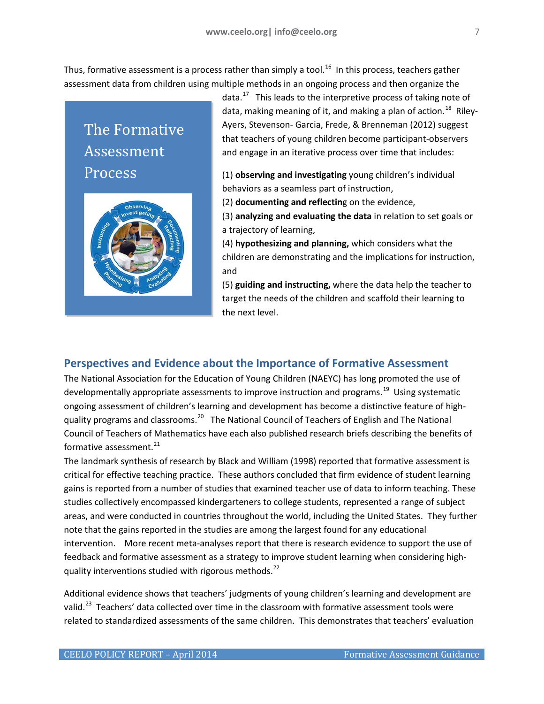Thus, formative assessment is a process rather than simply a tool.<sup>[16](#page-23-15)</sup> In this process, teachers gather assessment data from children using multiple methods in an ongoing process and then organize the

The Formative Assessment Process



data.<sup>[17](#page-23-16)</sup> This leads to the interpretive process of taking note of data, making meaning of it, and making a plan of action.<sup>[18](#page-23-17)</sup> Riley-Ayers, Stevenson- Garcia, Frede, & Brenneman (2012) suggest that teachers of young children become participant-observers and engage in an iterative process over time that includes:

(1) **observing and investigating** young children's individual behaviors as a seamless part of instruction,

(2) **documenting and reflectin**g on the evidence,

(3) **analyzing and evaluating the data** in relation to set goals or a trajectory of learning,

(4) **hypothesizing and planning,** which considers what the children are demonstrating and the implications for instruction, and

(5) **guiding and instructing,** where the data help the teacher to target the needs of the children and scaffold their learning to the next level.

# <span id="page-6-0"></span>**Perspectives and Evidence about the Importance of Formative Assessment**

The National Association for the Education of Young Children (NAEYC) has long promoted the use of developmentally appropriate assessments to improve instruction and programs.<sup>[19](#page-23-18)</sup> Using systematic ongoing assessment of children's learning and development has become a distinctive feature of high-quality programs and classrooms.<sup>[20](#page-23-19)</sup> The National Council of Teachers of English and The National Council of Teachers of Mathematics have each also published research briefs describing the benefits of formative assessment.<sup>[21](#page-23-20)</sup>

The landmark synthesis of research by Black and William (1998) reported that formative assessment is critical for effective teaching practice. These authors concluded that firm evidence of student learning gains is reported from a number of studies that examined teacher use of data to inform teaching. These studies collectively encompassed kindergarteners to college students, represented a range of subject areas, and were conducted in countries throughout the world, including the United States. They further note that the gains reported in the studies are among the largest found for any educational intervention. More recent meta-analyses report that there is research evidence to support the use of feedback and formative assessment as a strategy to improve student learning when considering high-quality interventions studied with rigorous methods.<sup>[22](#page-23-21)</sup>

Additional evidence shows that teachers' judgments of young children's learning and development are valid.<sup>[23](#page-23-22)</sup> Teachers' data collected over time in the classroom with formative assessment tools were related to standardized assessments of the same children. This demonstrates that teachers' evaluation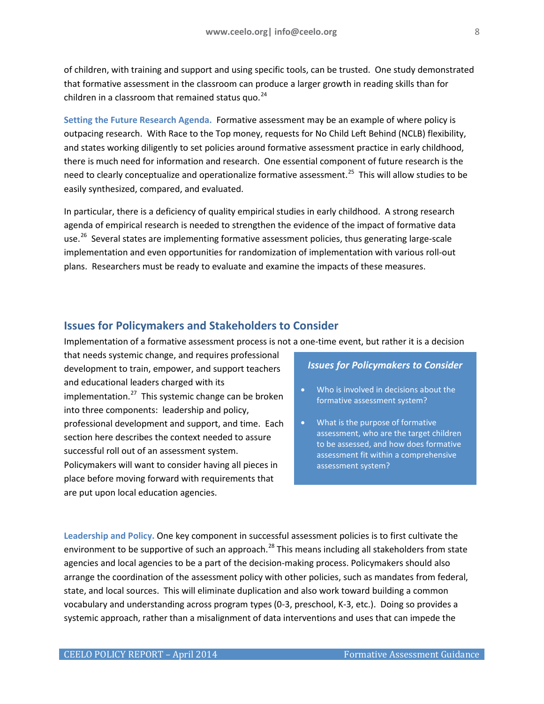of children, with training and support and using specific tools, can be trusted. One study demonstrated that formative assessment in the classroom can produce a larger growth in reading skills than for children in a classroom that remained status quo. $^{24}$  $^{24}$  $^{24}$ 

<span id="page-7-0"></span>**Setting the Future Research Agenda.** Formative assessment may be an example of where policy is outpacing research. With Race to the Top money, requests for No Child Left Behind (NCLB) flexibility, and states working diligently to set policies around formative assessment practice in early childhood, there is much need for information and research. One essential component of future research is the need to clearly conceptualize and operationalize formative assessment.<sup>25</sup> This will allow studies to be easily synthesized, compared, and evaluated.

In particular, there is a deficiency of quality empirical studies in early childhood. A strong research agenda of empirical research is needed to strengthen the evidence of the impact of formative data use.<sup>26</sup> Several states are implementing formative assessment policies, thus generating large-scale implementation and even opportunities for randomization of implementation with various roll-out plans. Researchers must be ready to evaluate and examine the impacts of these measures.

#### <span id="page-7-1"></span>**Issues for Policymakers and Stakeholders to Consider**

Implementation of a formative assessment process is not a one-time event, but rather it is a decision

that needs systemic change, and requires professional development to train, empower, and support teachers and educational leaders charged with its implementation. $^{27}$  $^{27}$  $^{27}$  This systemic change can be broken into three components: leadership and policy, professional development and support, and time. Each section here describes the context needed to assure successful roll out of an assessment system. Policymakers will want to consider having all pieces in place before moving forward with requirements that are put upon local education agencies.

#### *Issues for Policymakers to Consider*

- Who is involved in decisions about the formative assessment system?
- What is the purpose of formative assessment, who are the target children to be assessed, and how does formative assessment fit within a comprehensive assessment system?

<span id="page-7-2"></span>**Leadership and Policy.** One key component in successful assessment policies is to first cultivate the environment to be supportive of such an approach.<sup>[28](#page-23-27)</sup> This means including all stakeholders from state agencies and local agencies to be a part of the decision-making process. Policymakers should also arrange the coordination of the assessment policy with other policies, such as mandates from federal, state, and local sources. This will eliminate duplication and also work toward building a common vocabulary and understanding across program types (0-3, preschool, K-3, etc.). Doing so provides a systemic approach, rather than a misalignment of data interventions and uses that can impede the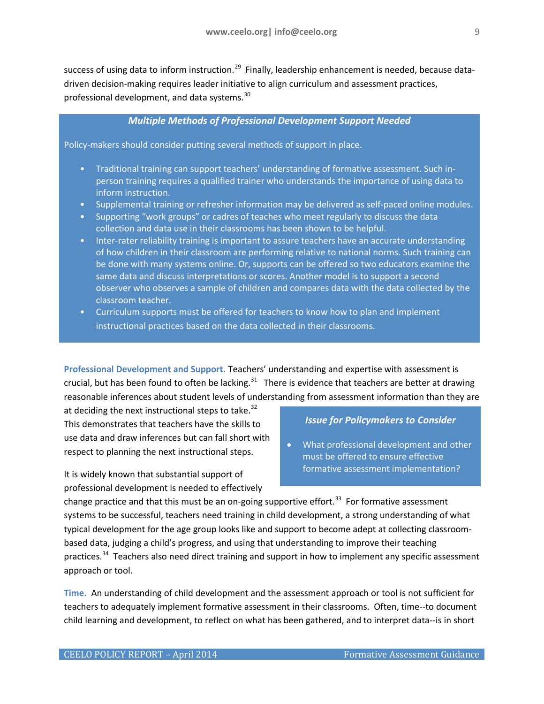success of using data to inform instruction.<sup>[29](#page-23-28)</sup> Finally, leadership enhancement is needed, because datadriven decision-making requires leader initiative to align curriculum and assessment practices, professional development, and data systems.<sup>30</sup>

#### *Multiple Methods of Professional Development Support Needed*

Policy-makers should consider putting several methods of support in place.

- Traditional training can support teachers' understanding of formative assessment. Such inperson training requires a qualified trainer who understands the importance of using data to inform instruction.
- Supplemental training or refresher information may be delivered as self-paced online modules.
- Supporting "work groups" or cadres of teaches who meet regularly to discuss the data collection and data use in their classrooms has been shown to be helpful.
- Inter-rater reliability training is important to assure teachers have an accurate understanding of how children in their classroom are performing relative to national norms. Such training can be done with many systems online. Or, supports can be offered so two educators examine the same data and discuss interpretations or scores. Another model is to support a second observer who observes a sample of children and compares data with the data collected by the classroom teacher.
- Curriculum supports must be offered for teachers to know how to plan and implement instructional practices based on the data collected in their classrooms.

<span id="page-8-0"></span>**Professional Development and Support.** Teachers' understanding and expertise with assessment is crucial, but has been found to often be lacking.<sup>31</sup> There is evidence that teachers are better at drawing reasonable inferences about student levels of understanding from assessment information than they are

at deciding the next instructional steps to take.<sup>[32](#page-23-31)</sup> This demonstrates that teachers have the skills to use data and draw inferences but can fall short with respect to planning the next instructional steps.

It is widely known that substantial support of professional development is needed to effectively

#### *Issue for Policymakers to Consider*

• What professional development and other must be offered to ensure effective formative assessment implementation?

change practice and that this must be an on-going supportive effort.<sup>[33](#page-23-32)</sup> For formative assessment systems to be successful, teachers need training in child development, a strong understanding of what typical development for the age group looks like and support to become adept at collecting classroombased data, judging a child's progress, and using that understanding to improve their teaching practices.<sup>[34](#page-23-33)</sup> Teachers also need direct training and support in how to implement any specific assessment approach or tool.

<span id="page-8-1"></span>**Time.** An understanding of child development and the assessment approach or tool is not sufficient for teachers to adequately implement formative assessment in their classrooms. Often, time--to document child learning and development, to reflect on what has been gathered, and to interpret data--is in short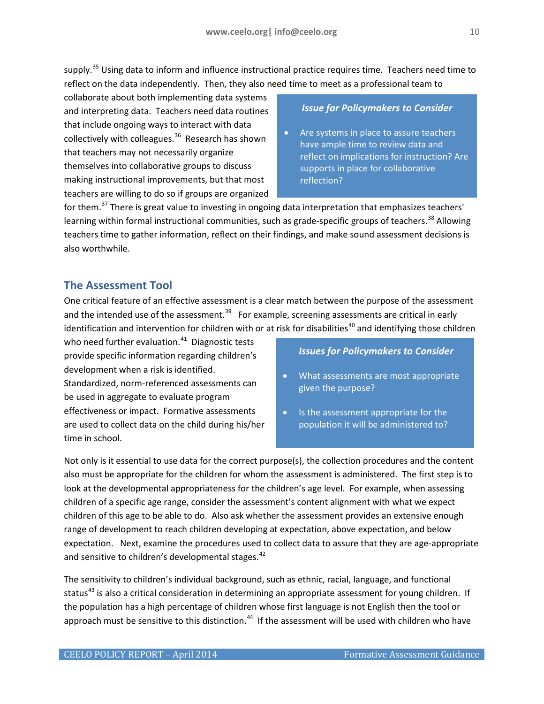supply.<sup>[35](#page-23-34)</sup> Using data to inform and influence instructional practice requires time. Teachers need time to reflect on the data independently. Then, they also need time to meet as a professional team to

collaborate about both implementing data systems and interpreting data. Teachers need data routines that include ongoing ways to interact with data collectively with colleagues.<sup>36</sup> Research has shown that teachers may not necessarily organize themselves into collaborative groups to discuss making instructional improvements, but that most teachers are willing to do so if groups are organized

#### *Issue for Policymakers to Consider*

Are systems in place to assure teachers have ample time to review data and reflect on implications for instruction? Are supports in place for collaborative reflection?

for them.<sup>[37](#page-23-36)</sup> There is great value to investing in ongoing data interpretation that emphasizes teachers' learning within formal instructional communities, such as grade-specific groups of teachers.<sup>[38](#page-23-37)</sup> Allowing teachers time to gather information, reflect on their findings, and make sound assessment decisions is also worthwhile.

# <span id="page-9-0"></span>**The Assessment Tool**

One critical feature of an effective assessment is a clear match between the purpose of the assessment and the intended use of the assessment.<sup>39</sup> For example, screening assessments are critical in early identification and intervention for children with or at risk for disabilities<sup>[40](#page-23-39)</sup> and identifying those children

who need further evaluation.<sup>[41](#page-23-40)</sup> Diagnostic tests provide specific information regarding children's development when a risk is identified. Standardized, norm-referenced assessments can be used in aggregate to evaluate program effectiveness or impact. Formative assessments are used to collect data on the child during his/her time in school.

#### *Issues for Policymakers to Consider*

- What assessments are most appropriate given the purpose?
- Is the assessment appropriate for the population it will be administered to?

Not only is it essential to use data for the correct purpose(s), the collection procedures and the content also must be appropriate for the children for whom the assessment is administered. The first step is to look at the developmental appropriateness for the children's age level. For example, when assessing children of a specific age range, consider the assessment's content alignment with what we expect children of this age to be able to do. Also ask whether the assessment provides an extensive enough range of development to reach children developing at expectation, above expectation, and below expectation. Next, examine the procedures used to collect data to assure that they are age-appropriate and sensitive to children's developmental stages.<sup>[42](#page-23-41)</sup>

The sensitivity to children's individual background, such as ethnic, racial, language, and functional status<sup>[43](#page-23-42)</sup> is also a critical consideration in determining an appropriate assessment for young children. If the population has a high percentage of children whose first language is not English then the tool or approach must be sensitive to this distinction.<sup>[44](#page-23-43)</sup> If the assessment will be used with children who have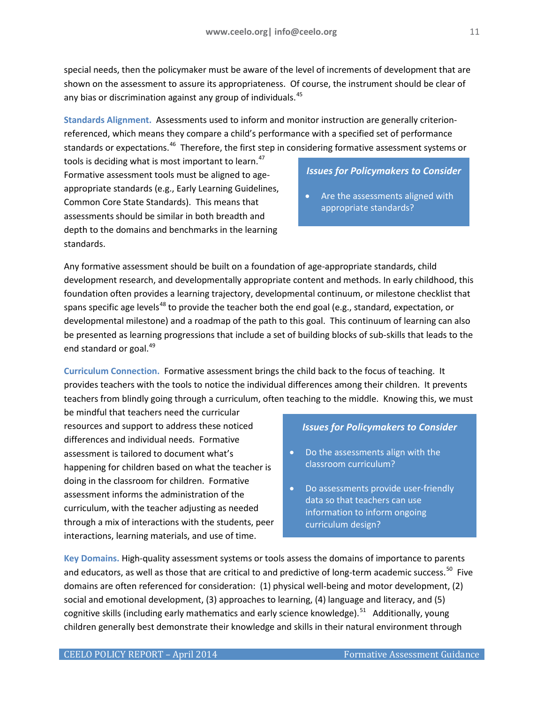special needs, then the policymaker must be aware of the level of increments of development that are shown on the assessment to assure its appropriateness. Of course, the instrument should be clear of any bias or discrimination against any group of individuals.<sup>45</sup>

<span id="page-10-0"></span>**Standards Alignment.** Assessments used to inform and monitor instruction are generally criterionreferenced, which means they compare a child's performance with a specified set of performance standards or expectations.<sup>[46](#page-23-45)</sup> Therefore, the first step in considering formative assessment systems or

tools is deciding what is most important to learn.<sup>[47](#page-23-46)</sup> Formative assessment tools must be aligned to ageappropriate standards (e.g., Early Learning Guidelines, Common Core State Standards). This means that assessments should be similar in both breadth and depth to the domains and benchmarks in the learning standards.

#### *Issues for Policymakers to Consider*

Are the assessments aligned with appropriate standards?

Any formative assessment should be built on a foundation of age-appropriate standards, child development research, and developmentally appropriate content and methods. In early childhood, this foundation often provides a learning trajectory, developmental continuum, or milestone checklist that spans specific age levels<sup>[48](#page-23-47)</sup> to provide the teacher both the end goal (e.g., standard, expectation, or developmental milestone) and a roadmap of the path to this goal. This continuum of learning can also be presented as learning progressions that include a set of building blocks of sub-skills that leads to the end standard or goal.<sup>49</sup>

<span id="page-10-1"></span>**Curriculum Connection.** Formative assessment brings the child back to the focus of teaching. It provides teachers with the tools to notice the individual differences among their children. It prevents teachers from blindly going through a curriculum, often teaching to the middle. Knowing this, we must

be mindful that teachers need the curricular resources and support to address these noticed differences and individual needs. Formative assessment is tailored to document what's happening for children based on what the teacher is doing in the classroom for children. Formative assessment informs the administration of the curriculum, with the teacher adjusting as needed through a mix of interactions with the students, peer interactions, learning materials, and use of time.

#### *Issues for Policymakers to Consider*

- Do the assessments align with the classroom curriculum?
- Do assessments provide user-friendly data so that teachers can use information to inform ongoing curriculum design?

<span id="page-10-2"></span>**Key Domains.** High-quality assessment systems or tools assess the domains of importance to parents and educators, as well as those that are critical to and predictive of long-term academic success.<sup>50</sup> Five domains are often referenced for consideration: (1) physical well-being and motor development, (2) social and emotional development, (3) approaches to learning, (4) language and literacy, and (5) cognitive skills (including early mathematics and early science knowledge).<sup>[51](#page-23-50)</sup> Additionally, young children generally best demonstrate their knowledge and skills in their natural environment through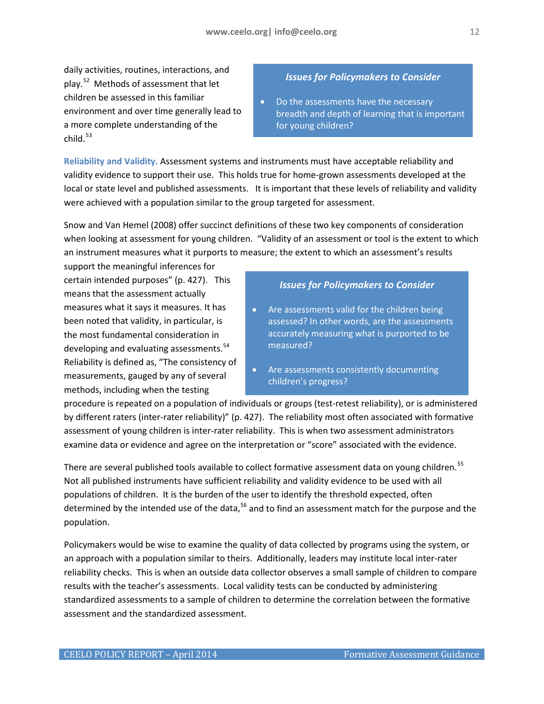daily activities, routines, interactions, and play.[52](#page-23-51) Methods of assessment that let children be assessed in this familiar environment and over time generally lead to a more complete understanding of the  $child.<sup>53</sup>$ 

# *Issues for Policymakers to Consider*

• Do the assessments have the necessary breadth and depth of learning that is important for young children?

<span id="page-11-0"></span>**Reliability and Validity.** Assessment systems and instruments must have acceptable reliability and validity evidence to support their use. This holds true for home-grown assessments developed at the local or state level and published assessments. It is important that these levels of reliability and validity were achieved with a population similar to the group targeted for assessment.

Snow and Van Hemel (2008) offer succinct definitions of these two key components of consideration when looking at assessment for young children. "Validity of an assessment or tool is the extent to which an instrument measures what it purports to measure; the extent to which an assessment's results

support the meaningful inferences for certain intended purposes" (p. 427). This means that the assessment actually measures what it says it measures. It has been noted that validity, in particular, is the most fundamental consideration in developing and evaluating assessments.<sup>[54](#page-23-52)</sup> Reliability is defined as, "The consistency of measurements, gauged by any of several methods, including when the testing

### *Issues for Policymakers to Consider*

- Are assessments valid for the children being assessed? In other words, are the assessments accurately measuring what is purported to be measured?
- Are assessments consistently documenting children's progress?

procedure is repeated on a population of individuals or groups (test-retest reliability), or is administered by different raters (inter-rater reliability)" (p. 427). The reliability most often associated with formative assessment of young children is inter-rater reliability. This is when two assessment administrators examine data or evidence and agree on the interpretation or "score" associated with the evidence.

There are several published tools available to collect formative assessment data on young children.<sup>[55](#page-23-53)</sup> Not all published instruments have sufficient reliability and validity evidence to be used with all populations of children. It is the burden of the user to identify the threshold expected, often determined by the intended use of the data,<sup>[56](#page-23-54)</sup> and to find an assessment match for the purpose and the population.

Policymakers would be wise to examine the quality of data collected by programs using the system, or an approach with a population similar to theirs. Additionally, leaders may institute local inter-rater reliability checks. This is when an outside data collector observes a small sample of children to compare results with the teacher's assessments. Local validity tests can be conducted by administering standardized assessments to a sample of children to determine the correlation between the formative assessment and the standardized assessment.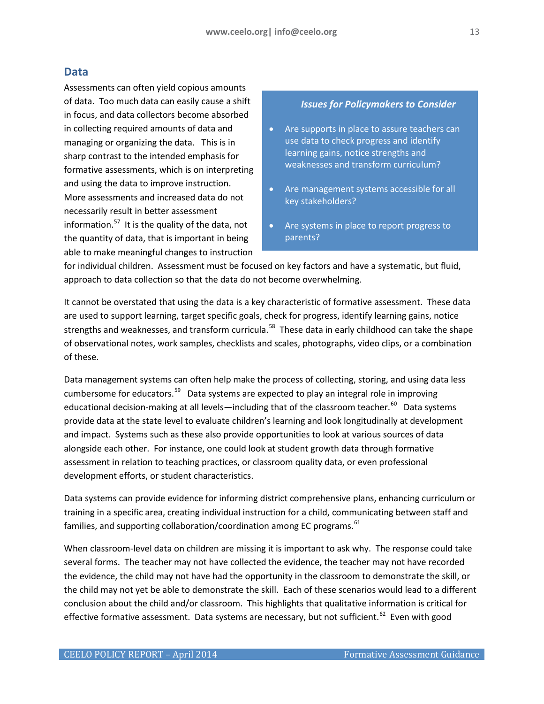#### <span id="page-12-0"></span>**Data**

Assessments can often yield copious amounts of data. Too much data can easily cause a shift in focus, and data collectors become absorbed in collecting required amounts of data and managing or organizing the data. This is in sharp contrast to the intended emphasis for formative assessments, which is on interpreting and using the data to improve instruction. More assessments and increased data do not necessarily result in better assessment information. $57$  It is the quality of the data, not the quantity of data, that is important in being able to make meaningful changes to instruction

#### *Issues for Policymakers to Consider*

- Are supports in place to assure teachers can use data to check progress and identify learning gains, notice strengths and weaknesses and transform curriculum?
- Are management systems accessible for all key stakeholders?
- Are systems in place to report progress to parents?

for individual children. Assessment must be focused on key factors and have a systematic, but fluid, approach to data collection so that the data do not become overwhelming.

It cannot be overstated that using the data is a key characteristic of formative assessment. These data are used to support learning, target specific goals, check for progress, identify learning gains, notice strengths and weaknesses, and transform curricula.<sup>58</sup> These data in early childhood can take the shape of observational notes, work samples, checklists and scales, photographs, video clips, or a combination of these.

Data management systems can often help make the process of collecting, storing, and using data less cumbersome for educators.<sup>[59](#page-23-57)</sup> Data systems are expected to play an integral role in improving educational decision-making at all levels—including that of the classroom teacher.<sup>60</sup> Data systems provide data at the state level to evaluate children's learning and look longitudinally at development and impact. Systems such as these also provide opportunities to look at various sources of data alongside each other. For instance, one could look at student growth data through formative assessment in relation to teaching practices, or classroom quality data, or even professional development efforts, or student characteristics.

Data systems can provide evidence for informing district comprehensive plans, enhancing curriculum or training in a specific area, creating individual instruction for a child, communicating between staff and families, and supporting collaboration/coordination among EC programs.<sup>61</sup>

When classroom-level data on children are missing it is important to ask why. The response could take several forms. The teacher may not have collected the evidence, the teacher may not have recorded the evidence, the child may not have had the opportunity in the classroom to demonstrate the skill, or the child may not yet be able to demonstrate the skill. Each of these scenarios would lead to a different conclusion about the child and/or classroom. This highlights that qualitative information is critical for effective formative assessment. Data systems are necessary, but not sufficient.<sup>[62](#page-23-60)</sup> Even with good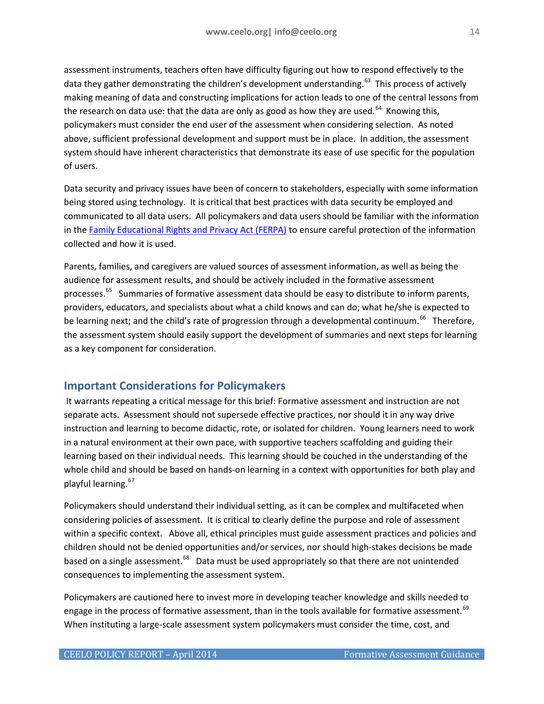assessment instruments, teachers often have difficulty figuring out how to respond effectively to the data they gather demonstrating the children's development understanding.<sup>[63](#page-23-61)</sup> This process of actively making meaning of data and constructing implications for action leads to one of the central lessons from the research on data use: that the data are only as good as how they are used.<sup>64</sup> Knowing this, policymakers must consider the end user of the assessment when considering selection. As noted above, sufficient professional development and support must be in place. In addition, the assessment system should have inherent characteristics that demonstrate its ease of use specific for the population of users.

Data security and privacy issues have been of concern to stakeholders, especially with some information being stored using technology. It is critical that best practices with data security be employed and communicated to all data users. All policymakers and data users should be familiar with the information in the [Family Educational Rights and Privacy Act \(FERPA\)](http://www.ed.gov/policy/gen/guid/fpco/ferpa/index.html) to ensure careful protection of the information collected and how it is used.

Parents, families, and caregivers are valued sources of assessment information, as well as being the audience for assessment results, and should be actively included in the formative assessment processes.<sup>[65](#page-23-63)</sup> Summaries of formative assessment data should be easy to distribute to inform parents, providers, educators, and specialists about what a child knows and can do; what he/she is expected to be learning next; and the child's rate of progression through a developmental continuum.<sup>66</sup> Therefore, the assessment system should easily support the development of summaries and next steps for learning as a key component for consideration.

# <span id="page-13-0"></span>**Important Considerations for Policymakers**

It warrants repeating a critical message for this brief: Formative assessment and instruction are not separate acts. Assessment should not supersede effective practices, nor should it in any way drive instruction and learning to become didactic, rote, or isolated for children. Young learners need to work in a natural environment at their own pace, with supportive teachers scaffolding and guiding their learning based on their individual needs. This learning should be couched in the understanding of the whole child and should be based on hands-on learning in a context with opportunities for both play and playful learning.<sup>[67](#page-23-65)</sup>

Policymakers should understand their individual setting, as it can be complex and multifaceted when considering policies of assessment. It is critical to clearly define the purpose and role of assessment within a specific context. Above all, ethical principles must guide assessment practices and policies and children should not be denied opportunities and/or services, nor should high-stakes decisions be made based on a single assessment.<sup>[68](#page-23-66)</sup> Data must be used appropriately so that there are not unintended consequences to implementing the assessment system.

Policymakers are cautioned here to invest more in developing teacher knowledge and skills needed to engage in the process of formative assessment, than in the tools available for formative assessment.<sup>[69](#page-23-67)</sup> When instituting a large-scale assessment system policymakers must consider the time, cost, and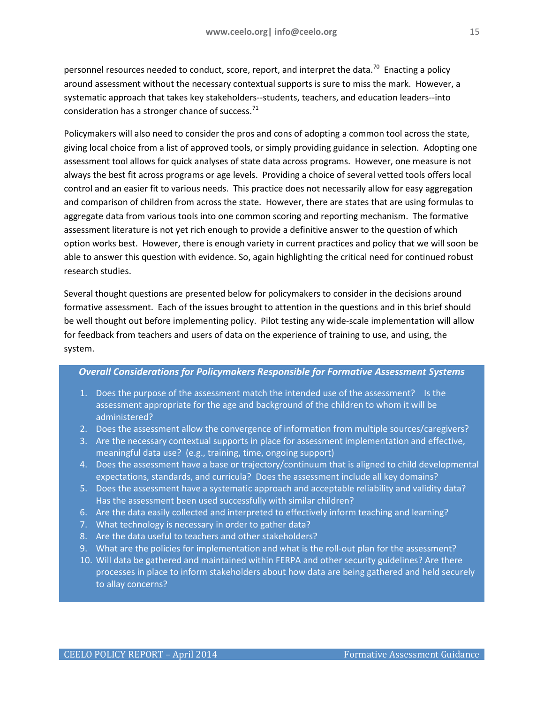personnel resources needed to conduct, score, report, and interpret the data.<sup>[70](#page-23-68)</sup> Enacting a policy around assessment without the necessary contextual supports is sure to miss the mark. However, a systematic approach that takes key stakeholders--students, teachers, and education leaders--into consideration has a stronger chance of success.<sup>[71](#page-23-69)</sup>

Policymakers will also need to consider the pros and cons of adopting a common tool across the state, giving local choice from a list of approved tools, or simply providing guidance in selection. Adopting one assessment tool allows for quick analyses of state data across programs. However, one measure is not always the best fit across programs or age levels. Providing a choice of several vetted tools offers local control and an easier fit to various needs. This practice does not necessarily allow for easy aggregation and comparison of children from across the state. However, there are states that are using formulas to aggregate data from various tools into one common scoring and reporting mechanism. The formative assessment literature is not yet rich enough to provide a definitive answer to the question of which option works best. However, there is enough variety in current practices and policy that we will soon be able to answer this question with evidence. So, again highlighting the critical need for continued robust research studies.

Several thought questions are presented below for policymakers to consider in the decisions around formative assessment. Each of the issues brought to attention in the questions and in this brief should be well thought out before implementing policy. Pilot testing any wide-scale implementation will allow for feedback from teachers and users of data on the experience of training to use, and using, the system.

#### *Overall Considerations for Policymakers Responsible for Formative Assessment Systems*

- 1. Does the purpose of the assessment match the intended use of the assessment? Is the assessment appropriate for the age and background of the children to whom it will be administered?
- 2. Does the assessment allow the convergence of information from multiple sources/caregivers?
- 3. Are the necessary contextual supports in place for assessment implementation and effective, meaningful data use? (e.g., training, time, ongoing support)
- 4. Does the assessment have a base or trajectory/continuum that is aligned to child developmental expectations, standards, and curricula? Does the assessment include all key domains?
- 5. Does the assessment have a systematic approach and acceptable reliability and validity data? Has the assessment been used successfully with similar children?
- 6. Are the data easily collected and interpreted to effectively inform teaching and learning?
- 7. What technology is necessary in order to gather data?
- 8. Are the data useful to teachers and other stakeholders?
- 9. What are the policies for implementation and what is the roll-out plan for the assessment?
- 10. Will data be gathered and maintained within FERPA and other security guidelines? Are there processes in place to inform stakeholders about how data are being gathered and held securely to allay concerns?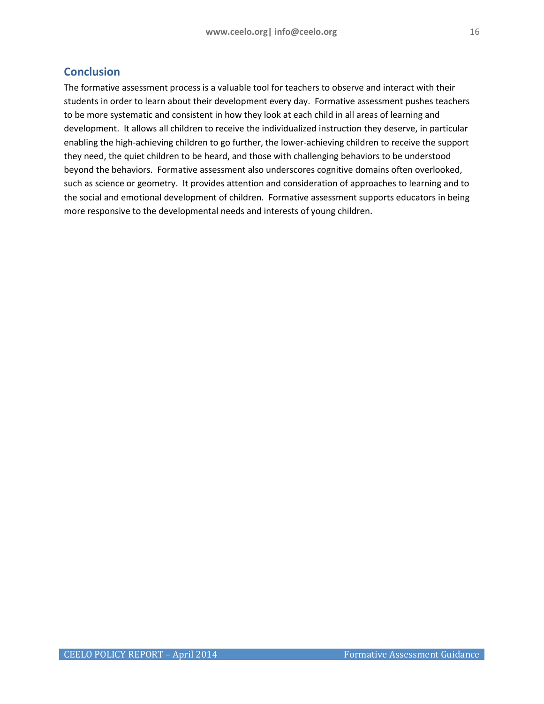# <span id="page-15-0"></span>**Conclusion**

The formative assessment process is a valuable tool for teachers to observe and interact with their students in order to learn about their development every day. Formative assessment pushes teachers to be more systematic and consistent in how they look at each child in all areas of learning and development. It allows all children to receive the individualized instruction they deserve, in particular enabling the high-achieving children to go further, the lower-achieving children to receive the support they need, the quiet children to be heard, and those with challenging behaviors to be understood beyond the behaviors. Formative assessment also underscores cognitive domains often overlooked, such as science or geometry. It provides attention and consideration of approaches to learning and to the social and emotional development of children. Formative assessment supports educators in being more responsive to the developmental needs and interests of young children.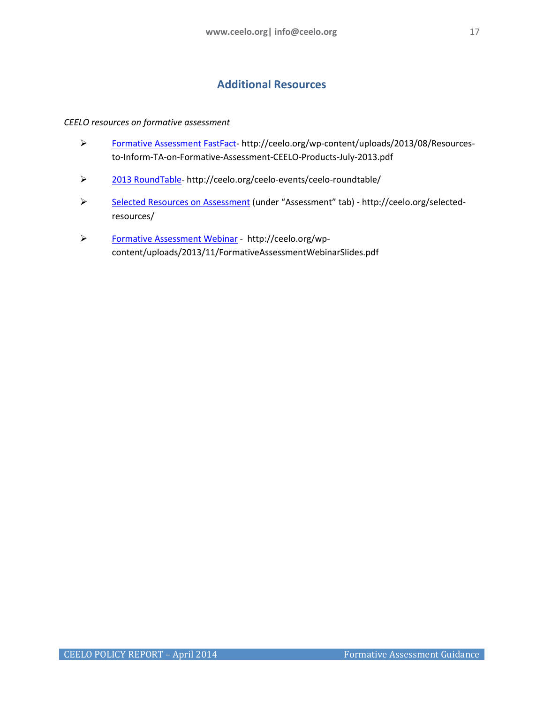# **Additional Resources**

#### <span id="page-16-0"></span>*CEELO resources on formative assessment*

- [Formative Assessment FastFact-](http://ceelo.org/wp-content/uploads/2013/08/Resources-to-Inform-TA-on-Formative-Assessment-CEELO-Products-July-2013.pdf) http://ceelo.org/wp-content/uploads/2013/08/Resourcesto-Inform-TA-on-Formative-Assessment-CEELO-Products-July-2013.pdf
- > [2013 RoundTable-](http://ceelo.org/ceelo-events/ceelo-roundtable/) http://ceelo.org/ceelo-events/ceelo-roundtable/
- ▶ [Selected Resources on Assessment](http://ceelo.org/selected-resources/) (under "Assessment" tab) http://ceelo.org/selectedresources/
- [Formative Assessment Webinar](http://ceelo.org/wp-content/uploads/2013/11/FormativeAssessmentWebinarSlides.pdf) http://ceelo.org/wpcontent/uploads/2013/11/FormativeAssessmentWebinarSlides.pdf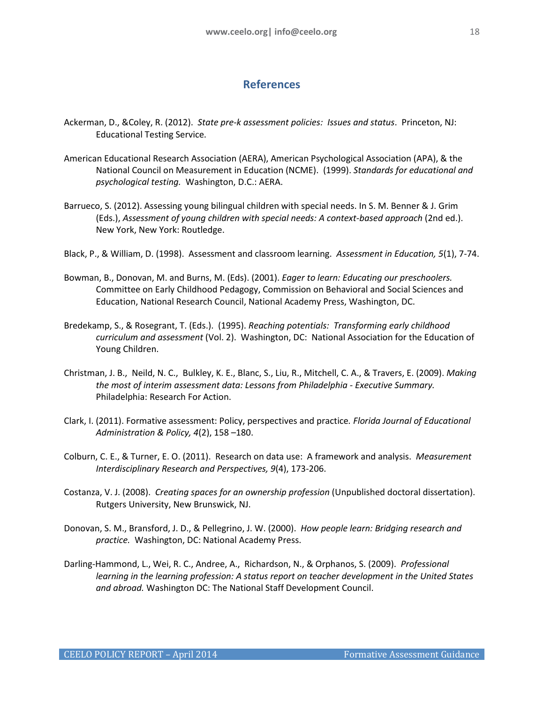# **References**

- <span id="page-17-0"></span>Ackerman, D., &Coley, R. (2012). *State pre-k assessment policies: Issues and status*. Princeton, NJ: Educational Testing Service.
- American Educational Research Association (AERA), American Psychological Association (APA), & the National Council on Measurement in Education (NCME). (1999). *Standards for educational and psychological testing.* Washington, D.C.: AERA.
- Barrueco, S. (2012). Assessing young bilingual children with special needs. In S. M. Benner & J. Grim (Eds.), *Assessment of young children with special needs: A context-based approach* (2nd ed.). New York, New York: Routledge.
- Black, P., & William, D. (1998). Assessment and classroom learning. *Assessment in Education, 5*(1), 7-74.
- Bowman, B., Donovan, M. and Burns, M. (Eds). (2001). *Eager to learn: Educating our preschoolers.* Committee on Early Childhood Pedagogy, Commission on Behavioral and Social Sciences and Education, National Research Council, National Academy Press, Washington, DC.
- Bredekamp, S., & Rosegrant, T. (Eds.). (1995). *Reaching potentials: Transforming early childhood curriculum and assessment* (Vol. 2). Washington, DC: National Association for the Education of Young Children.
- Christman, J. B., Neild, N. C., Bulkley, K. E., Blanc, S., Liu, R., Mitchell, C. A., & Travers, E. (2009). *Making the most of interim assessment data: Lessons from Philadelphia - Executive Summary.* Philadelphia: Research For Action.
- Clark, I. (2011). Formative assessment: Policy, perspectives and practice*. Florida Journal of Educational Administration & Policy, 4*(2), 158 –180.
- Colburn, C. E., & Turner, E. O. (2011). Research on data use: A framework and analysis. *Measurement Interdisciplinary Research and Perspectives, 9*(4), 173-206.
- Costanza, V. J. (2008). *Creating spaces for an ownership profession* (Unpublished doctoral dissertation). Rutgers University, New Brunswick, NJ.
- Donovan, S. M., Bransford, J. D., & Pellegrino, J. W. (2000). *How people learn: Bridging research and practice.* Washington, DC: National Academy Press.
- Darling-Hammond, L., Wei, R. C., Andree, A., Richardson, N., & Orphanos, S. (2009). *Professional learning in the learning profession: A status report on teacher development in the United States and abroad.* Washington DC: The National Staff Development Council.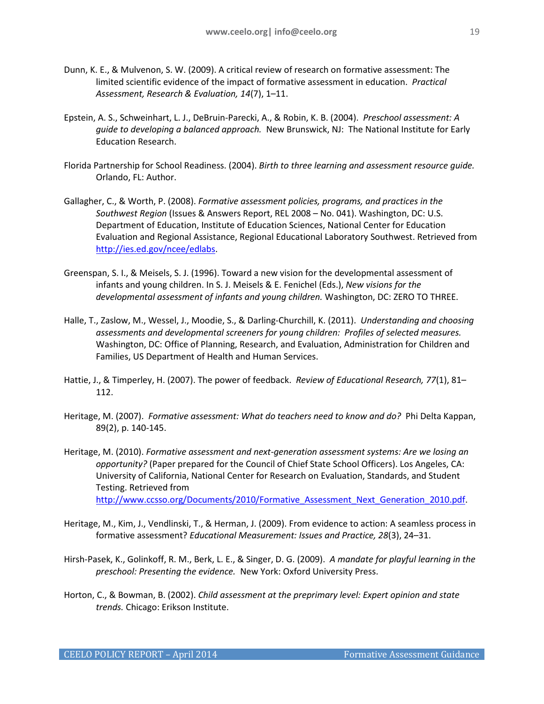- Dunn, K. E., & Mulvenon, S. W. (2009). A critical review of research on formative assessment: The limited scientific evidence of the impact of formative assessment in education. *Practical Assessment, Research & Evaluation, 14*(7), 1–11.
- Epstein, A. S., Schweinhart, L. J., DeBruin-Parecki, A., & Robin, K. B. (2004). *Preschool assessment: A guide to developing a balanced approach.* New Brunswick, NJ: The National Institute for Early Education Research.
- Florida Partnership for School Readiness. (2004). *Birth to three learning and assessment resource guide.* Orlando, FL: Author.
- Gallagher, C., & Worth, P. (2008). *Formative assessment policies, programs, and practices in the Southwest Region* (Issues & Answers Report, REL 2008 – No. 041). Washington, DC: U.S. Department of Education, Institute of Education Sciences, National Center for Education Evaluation and Regional Assistance, Regional Educational Laboratory Southwest. Retrieved from [http://ies.ed.gov/ncee/edlabs.](http://ies.ed.gov/ncee/edlabs)
- Greenspan, S. I., & Meisels, S. J. (1996). Toward a new vision for the developmental assessment of infants and young children. In S. J. Meisels & E. Fenichel (Eds.), *New visions for the developmental assessment of infants and young children.* Washington, DC: ZERO TO THREE.
- Halle, T., Zaslow, M., Wessel, J., Moodie, S., & Darling-Churchill, K. (2011). *Understanding and choosing assessments and developmental screeners for young children: Profiles of selected measures.* Washington, DC: Office of Planning, Research, and Evaluation, Administration for Children and Families, US Department of Health and Human Services.
- Hattie, J., & Timperley, H. (2007). The power of feedback. *Review of Educational Research, 77*(1), 81– 112.
- Heritage, M. (2007). *Formative assessment: What do teachers need to know and do?* Phi Delta Kappan, 89(2), p. 140-145.
- Heritage, M. (2010). *Formative assessment and next-generation assessment systems: Are we losing an opportunity?* (Paper prepared for the Council of Chief State School Officers). Los Angeles, CA: University of California, National Center for Research on Evaluation, Standards, and Student Testing. Retrieved from http://www.ccsso.org/Documents/2010/Formative Assessment Next Generation 2010.pdf.
- Heritage, M., Kim, J., Vendlinski, T., & Herman, J. (2009). From evidence to action: A seamless process in formative assessment? *Educational Measurement: Issues and Practice, 28*(3), 24–31.
- Hirsh-Pasek, K., Golinkoff, R. M., Berk, L. E., & Singer, D. G. (2009). *A mandate for playful learning in the preschool: Presenting the evidence.* New York: Oxford University Press.
- Horton, C., & Bowman, B. (2002). *Child assessment at the preprimary level: Expert opinion and state trends.* Chicago: Erikson Institute.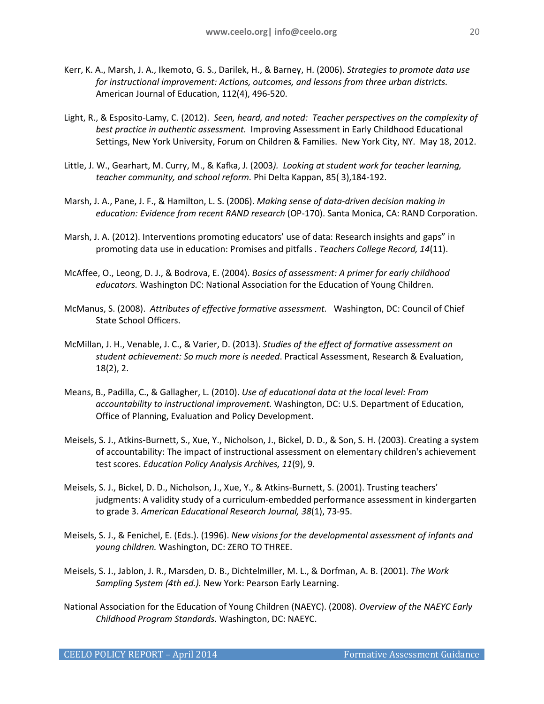- Kerr, K. A., Marsh, J. A., Ikemoto, G. S., Darilek, H., & Barney, H. (2006). *Strategies to promote data use for instructional improvement: Actions, outcomes, and lessons from three urban districts.* American Journal of Education, 112(4), 496-520.
- Light, R., & Esposito-Lamy, C. (2012). *Seen, heard, and noted: Teacher perspectives on the complexity of best practice in authentic assessment.* Improving Assessment in Early Childhood Educational Settings, New York University, Forum on Children & Families. New York City, NY. May 18, 2012.
- Little, J. W., Gearhart, M. Curry, M., & Kafka, J. (2003*). Looking at student work for teacher learning, teacher community, and school reform.* Phi Delta Kappan, 85( 3),184-192.
- Marsh, J. A., Pane, J. F., & Hamilton, L. S. (2006). *Making sense of data-driven decision making in education: Evidence from recent RAND research* (OP-170). Santa Monica, CA: RAND Corporation.
- Marsh, J. A. (2012). Interventions promoting educators' use of data: Research insights and gaps" in promoting data use in education: Promises and pitfalls . *Teachers College Record, 14*(11).
- McAffee, O., Leong, D. J., & Bodrova, E. (2004). *Basics of assessment: A primer for early childhood educators.* Washington DC: National Association for the Education of Young Children.
- McManus, S. (2008). *Attributes of effective formative assessment.* Washington, DC: Council of Chief State School Officers.
- McMillan, J. H., Venable, J. C., & Varier, D. (2013). *Studies of the effect of formative assessment on student achievement: So much more is needed*. Practical Assessment, Research & Evaluation, 18(2), 2.
- Means, B., Padilla, C., & Gallagher, L. (2010). *Use of educational data at the local level: From accountability to instructional improvement.* Washington, DC: U.S. Department of Education, Office of Planning, Evaluation and Policy Development.
- Meisels, S. J., Atkins-Burnett, S., Xue, Y., Nicholson, J., Bickel, D. D., & Son, S. H. (2003). Creating a system of accountability: The impact of instructional assessment on elementary children's achievement test scores. *Education Policy Analysis Archives, 11*(9), 9.
- Meisels, S. J., Bickel, D. D., Nicholson, J., Xue, Y., & Atkins-Burnett, S. (2001). Trusting teachers' judgments: A validity study of a curriculum-embedded performance assessment in kindergarten to grade 3. *American Educational Research Journal, 38*(1), 73-95.
- Meisels, S. J., & Fenichel, E. (Eds.). (1996). *New visions for the developmental assessment of infants and young children.* Washington, DC: ZERO TO THREE.
- Meisels, S. J., Jablon, J. R., Marsden, D. B., Dichtelmiller, M. L., & Dorfman, A. B. (2001). *The Work Sampling System (4th ed.).* New York: Pearson Early Learning.
- National Association for the Education of Young Children (NAEYC). (2008). *Overview of the NAEYC Early Childhood Program Standards.* Washington, DC: NAEYC.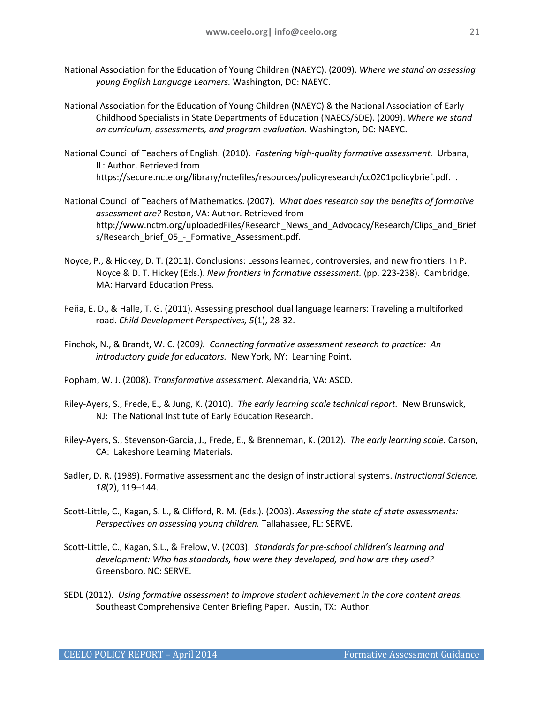- National Association for the Education of Young Children (NAEYC). (2009). *Where we stand on assessing young English Language Learners.* Washington, DC: NAEYC.
- National Association for the Education of Young Children (NAEYC) & the National Association of Early Childhood Specialists in State Departments of Education (NAECS/SDE). (2009). *Where we stand on curriculum, assessments, and program evaluation.* Washington, DC: NAEYC.
- National Council of Teachers of English. (2010). *Fostering high-quality formative assessment.* Urbana, IL: Author. Retrieved from https://secure.ncte.org/library/nctefiles/resources/policyresearch/cc0201policybrief.pdf. .
- National Council of Teachers of Mathematics. (2007). *What does research say the benefits of formative assessment are?* Reston, VA: Author. Retrieved from http://www.nctm.org/uploadedFiles/Research\_News\_and\_Advocacy/Research/Clips\_and\_Brief s/Research brief 05 - Formative Assessment.pdf.
- Noyce, P., & Hickey, D. T. (2011). Conclusions: Lessons learned, controversies, and new frontiers. In P. Noyce & D. T. Hickey (Eds.). *New frontiers in formative assessment.* (pp. 223-238). Cambridge, MA: Harvard Education Press.
- Peña, E. D., & Halle, T. G. (2011). Assessing preschool dual language learners: Traveling a multiforked road. *Child Development Perspectives, 5*(1), 28-32.
- Pinchok, N., & Brandt, W. C. (2009*). Connecting formative assessment research to practice: An introductory guide for educators.* New York, NY: Learning Point.
- Popham, W. J. (2008). *Transformative assessment.* Alexandria, VA: ASCD.
- Riley-Ayers, S., Frede, E., & Jung, K. (2010). *The early learning scale technical report.* New Brunswick, NJ: The National Institute of Early Education Research.
- Riley-Ayers, S., Stevenson-Garcia, J., Frede, E., & Brenneman, K. (2012). *The early learning scale.* Carson, CA: Lakeshore Learning Materials.
- Sadler, D. R. (1989). Formative assessment and the design of instructional systems. *Instructional Science, 18*(2), 119–144.
- Scott-Little, C., Kagan, S. L., & Clifford, R. M. (Eds.). (2003). *Assessing the state of state assessments: Perspectives on assessing young children.* Tallahassee, FL: SERVE.
- Scott-Little, C., Kagan, S.L., & Frelow, V. (2003). *Standards for pre-school children's learning and development: Who has standards, how were they developed, and how are they used?* Greensboro, NC: SERVE.
- SEDL (2012). *Using formative assessment to improve student achievement in the core content areas.* Southeast Comprehensive Center Briefing Paper. Austin, TX: Author.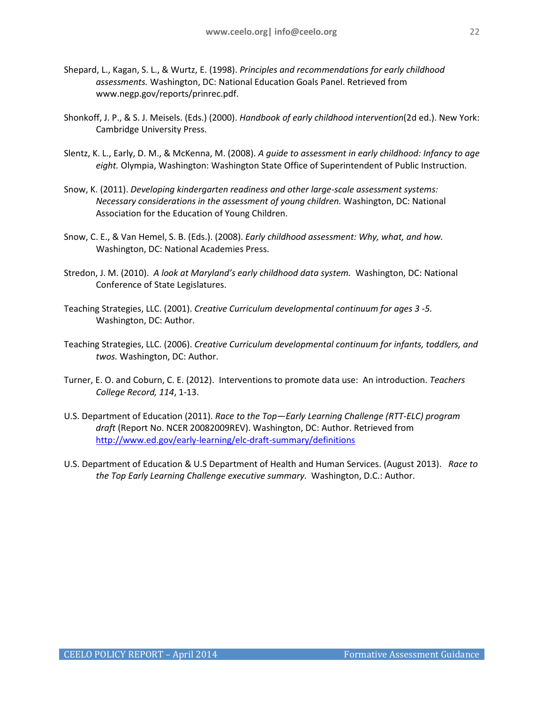- Shepard, L., Kagan, S. L., & Wurtz, E. (1998). *Principles and recommendations for early childhood assessments.* Washington, DC: National Education Goals Panel. Retrieved from www.negp.gov/reports/prinrec.pdf.
- Shonkoff, J. P., & S. J. Meisels. (Eds.) (2000). *Handbook of early childhood intervention*(2d ed.). New York: Cambridge University Press.
- Slentz, K. L., Early, D. M., & McKenna, M. (2008). *A guide to assessment in early childhood: Infancy to age eight.* Olympia, Washington: Washington State Office of Superintendent of Public Instruction.
- Snow, K. (2011). *Developing kindergarten readiness and other large-scale assessment systems: Necessary considerations in the assessment of young children.* Washington, DC: National Association for the Education of Young Children.
- Snow, C. E., & Van Hemel, S. B. (Eds.). (2008). *Early childhood assessment: Why, what, and how.* Washington, DC: National Academies Press.
- Stredon, J. M. (2010). *A look at Maryland's early childhood data system.* Washington, DC: National Conference of State Legislatures.
- Teaching Strategies, LLC. (2001). *Creative Curriculum developmental continuum for ages 3 -5.* Washington, DC: Author.
- Teaching Strategies, LLC. (2006). *Creative Curriculum developmental continuum for infants, toddlers, and twos.* Washington, DC: Author.
- Turner, E. O. and Coburn, C. E. (2012). Interventions to promote data use: An introduction. *Teachers College Record, 114*, 1-13.
- U.S. Department of Education (2011). *Race to the Top—Early Learning Challenge (RTT-ELC) program draft* (Report No. NCER 20082009REV). Washington, DC: Author. Retrieved from <http://www.ed.gov/early-learning/elc-draft-summary/definitions>
- U.S. Department of Education & U.S Department of Health and Human Services. (August 2013). *Race to the Top Early Learning Challenge executive summary.* Washington, D.C.: Author.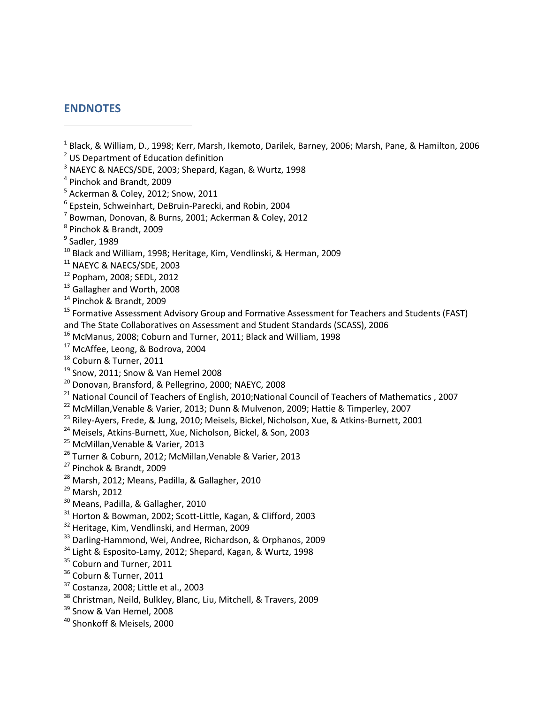# <span id="page-22-0"></span>**ENDNOTES**

j

- <sup>1</sup> Black, & William, D., 1998; Kerr, Marsh, Ikemoto, Darilek, Barney, 2006; Marsh, Pane, & Hamilton, 2006
- <sup>2</sup> US Department of Education definition
- <sup>3</sup> NAEYC & NAECS/SDE, 2003; Shepard, Kagan, & Wurtz, 1998
- <sup>4</sup> Pinchok and Brandt, 2009
- $<sup>5</sup>$  Ackerman & Coley, 2012; Snow, 2011</sup>
- <sup>6</sup> Epstein, Schweinhart, DeBruin-Parecki, and Robin, 2004
- <sup>7</sup> Bowman, Donovan, & Burns, 2001; Ackerman & Coley, 2012
- <sup>8</sup> Pinchok & Brandt, 2009
- $9$  Sadler, 1989
- <sup>10</sup> Black and William, 1998; Heritage, Kim, Vendlinski, & Herman, 2009
- <sup>11</sup> NAEYC & NAECS/SDE, 2003
- <sup>12</sup> Popham, 2008; SEDL, 2012
- <sup>13</sup> Gallagher and Worth, 2008
- <sup>14</sup> Pinchok & Brandt, 2009
- <sup>15</sup> Formative Assessment Advisory Group and Formative Assessment for Teachers and Students (FAST) and The State Collaboratives on Assessment and Student Standards (SCASS), 2006
- <sup>16</sup> McManus, 2008; Coburn and Turner, 2011; Black and William, 1998
- <sup>17</sup> McAffee, Leong, & Bodrova, 2004
- <sup>18</sup> Coburn & Turner, 2011
- <sup>19</sup> Snow, 2011; Snow & Van Hemel 2008
- <sup>20</sup> Donovan, Bransford, & Pellegrino, 2000; NAEYC, 2008
- <sup>21</sup> National Council of Teachers of English, 2010;National Council of Teachers of Mathematics, 2007
- <sup>22</sup> McMillan, Venable & Varier, 2013; Dunn & Mulvenon, 2009; Hattie & Timperley, 2007
- <sup>23</sup> Riley-Ayers, Frede, & Jung, 2010; Meisels, Bickel, Nicholson, Xue, & Atkins-Burnett, 2001

<sup>24</sup> Meisels, Atkins-Burnett, Xue, Nicholson, Bickel, & Son, 2003

- <sup>25</sup> McMillan, Venable & Varier, 2013
- <sup>26</sup> Turner & Coburn, 2012; McMillan,Venable & Varier, 2013
- <sup>27</sup> Pinchok & Brandt, 2009
- <sup>28</sup> Marsh, 2012; Means, Padilla, & Gallagher, 2010
- <sup>29</sup> Marsh, 2012
- <sup>30</sup> Means, Padilla, & Gallagher, 2010
- <sup>31</sup> Horton & Bowman, 2002; Scott-Little, Kagan, & Clifford, 2003
- <sup>32</sup> Heritage, Kim, Vendlinski, and Herman, 2009
- <sup>33</sup> Darling-Hammond, Wei, Andree, Richardson, & Orphanos, 2009
- <sup>34</sup> Light & Esposito-Lamy, 2012; Shepard, Kagan, & Wurtz, 1998
- <sup>35</sup> Coburn and Turner, 2011
- <sup>36</sup> Coburn & Turner, 2011
- <sup>37</sup> Costanza, 2008; Little et al., 2003
- <sup>38</sup> Christman, Neild, Bulkley, Blanc, Liu, Mitchell, & Travers, 2009
- <sup>39</sup> Snow & Van Hemel, 2008
- <sup>40</sup> Shonkoff & Meisels, 2000